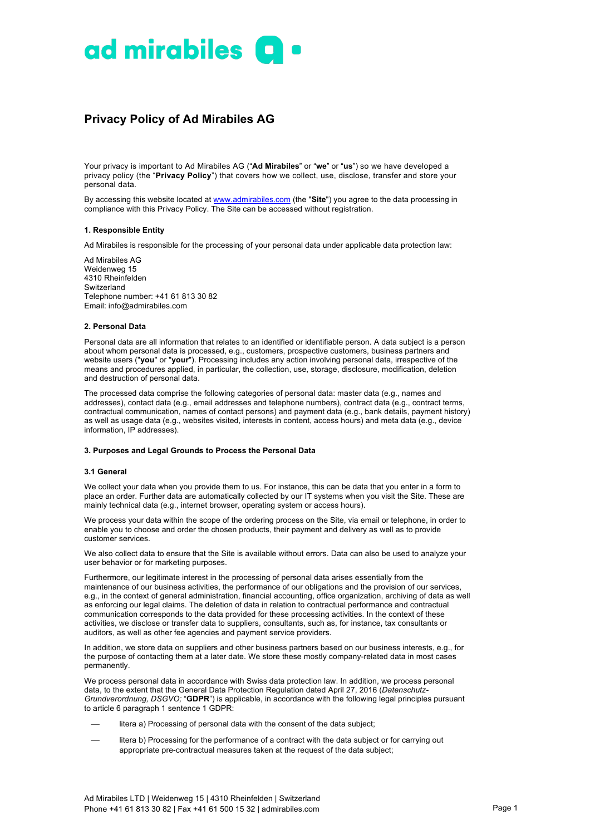

# **Privacy Policy of Ad Mirabiles AG**

Your privacy is important to Ad Mirabiles AG ("**Ad Mirabiles**" or "**we**" or "**us**") so we have developed a privacy policy (the "**Privacy Policy**") that covers how we collect, use, disclose, transfer and store your personal data.

By accessing this website located at www.admirabiles.com (the "**Site**") you agree to the data processing in compliance with this Privacy Policy. The Site can be accessed without registration.

# **1. Responsible Entity**

Ad Mirabiles is responsible for the processing of your personal data under applicable data protection law:

Ad Mirabiles AG Weidenweg 15 4310 Rheinfelden Switzerland Telephone number: +41 61 813 30 82 Email: info@admirabiles.com

#### **2. Personal Data**

Personal data are all information that relates to an identified or identifiable person. A data subject is a person about whom personal data is processed, e.g., customers, prospective customers, business partners and website users ("**you**" or "**your**"). Processing includes any action involving personal data, irrespective of the means and procedures applied, in particular, the collection, use, storage, disclosure, modification, deletion and destruction of personal data.

The processed data comprise the following categories of personal data: master data (e.g., names and addresses), contact data (e.g., email addresses and telephone numbers), contract data (e.g., contract terms, contractual communication, names of contact persons) and payment data (e.g., bank details, payment history) as well as usage data (e.g., websites visited, interests in content, access hours) and meta data (e.g., device information, IP addresses).

# **3. Purposes and Legal Grounds to Process the Personal Data**

#### **3.1 General**

We collect your data when you provide them to us. For instance, this can be data that you enter in a form to place an order. Further data are automatically collected by our IT systems when you visit the Site. These are mainly technical data (e.g., internet browser, operating system or access hours).

We process your data within the scope of the ordering process on the Site, via email or telephone, in order to enable you to choose and order the chosen products, their payment and delivery as well as to provide customer services.

We also collect data to ensure that the Site is available without errors. Data can also be used to analyze your user behavior or for marketing purposes.

Furthermore, our legitimate interest in the processing of personal data arises essentially from the maintenance of our business activities, the performance of our obligations and the provision of our services, e.g., in the context of general administration, financial accounting, office organization, archiving of data as well as enforcing our legal claims. The deletion of data in relation to contractual performance and contractual communication corresponds to the data provided for these processing activities. In the context of these activities, we disclose or transfer data to suppliers, consultants, such as, for instance, tax consultants or auditors, as well as other fee agencies and payment service providers.

In addition, we store data on suppliers and other business partners based on our business interests, e.g., for the purpose of contacting them at a later date. We store these mostly company-related data in most cases permanently.

We process personal data in accordance with Swiss data protection law. In addition, we process personal data, to the extent that the General Data Protection Regulation dated April 27, 2016 (*Datenschutz-Grundverordnung, DSGVO;* "**GDPR**") is applicable, in accordance with the following legal principles pursuant to article 6 paragraph 1 sentence 1 GDPR:

- litera a) Processing of personal data with the consent of the data subject;
- litera b) Processing for the performance of a contract with the data subject or for carrying out appropriate pre-contractual measures taken at the request of the data subject;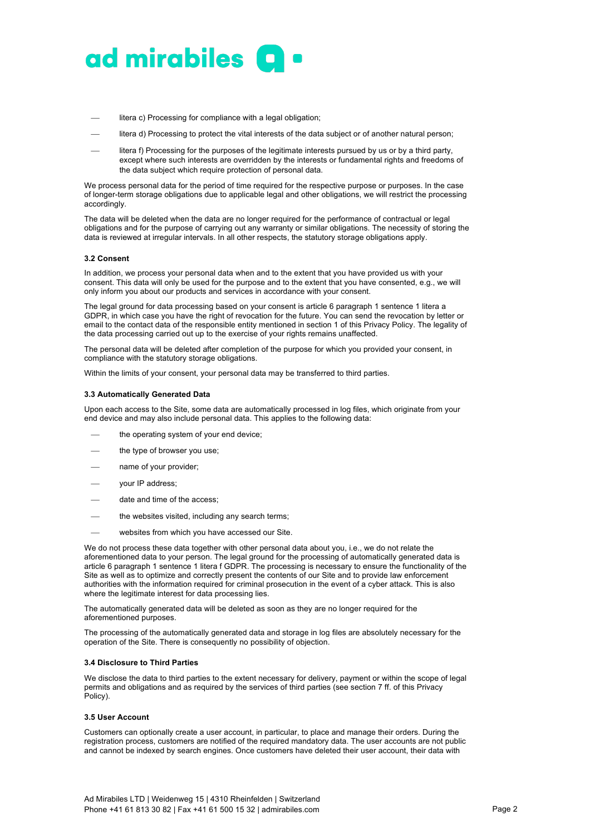

- litera c) Processing for compliance with a legal obligation;
- litera d) Processing to protect the vital interests of the data subject or of another natural person;
- litera f) Processing for the purposes of the legitimate interests pursued by us or by a third party, except where such interests are overridden by the interests or fundamental rights and freedoms of the data subject which require protection of personal data.

We process personal data for the period of time required for the respective purpose or purposes. In the case of longer-term storage obligations due to applicable legal and other obligations, we will restrict the processing accordingly.

The data will be deleted when the data are no longer required for the performance of contractual or legal obligations and for the purpose of carrying out any warranty or similar obligations. The necessity of storing the data is reviewed at irregular intervals. In all other respects, the statutory storage obligations apply.

#### **3.2 Consent**

In addition, we process your personal data when and to the extent that you have provided us with your consent. This data will only be used for the purpose and to the extent that you have consented, e.g., we will only inform you about our products and services in accordance with your consent.

The legal ground for data processing based on your consent is article 6 paragraph 1 sentence 1 litera a GDPR, in which case you have the right of revocation for the future. You can send the revocation by letter or email to the contact data of the responsible entity mentioned in section 1 of this Privacy Policy. The legality of the data processing carried out up to the exercise of your rights remains unaffected.

The personal data will be deleted after completion of the purpose for which you provided your consent, in compliance with the statutory storage obligations.

Within the limits of your consent, your personal data may be transferred to third parties.

#### **3.3 Automatically Generated Data**

Upon each access to the Site, some data are automatically processed in log files, which originate from your end device and may also include personal data. This applies to the following data:

- the operating system of your end device;
- the type of browser you use;
- name of your provider;
- your IP address;
- date and time of the access:
- the websites visited, including any search terms;
- websites from which you have accessed our Site.

We do not process these data together with other personal data about you, i.e., we do not relate the aforementioned data to your person. The legal ground for the processing of automatically generated data is article 6 paragraph 1 sentence 1 litera f GDPR. The processing is necessary to ensure the functionality of the Site as well as to optimize and correctly present the contents of our Site and to provide law enforcement authorities with the information required for criminal prosecution in the event of a cyber attack. This is also where the legitimate interest for data processing lies.

The automatically generated data will be deleted as soon as they are no longer required for the aforementioned purposes.

The processing of the automatically generated data and storage in log files are absolutely necessary for the operation of the Site. There is consequently no possibility of objection.

#### **3.4 Disclosure to Third Parties**

We disclose the data to third parties to the extent necessary for delivery, payment or within the scope of legal permits and obligations and as required by the services of third parties (see section 7 ff. of this Privacy Policy).

#### **3.5 User Account**

Customers can optionally create a user account, in particular, to place and manage their orders. During the registration process, customers are notified of the required mandatory data. The user accounts are not public and cannot be indexed by search engines. Once customers have deleted their user account, their data with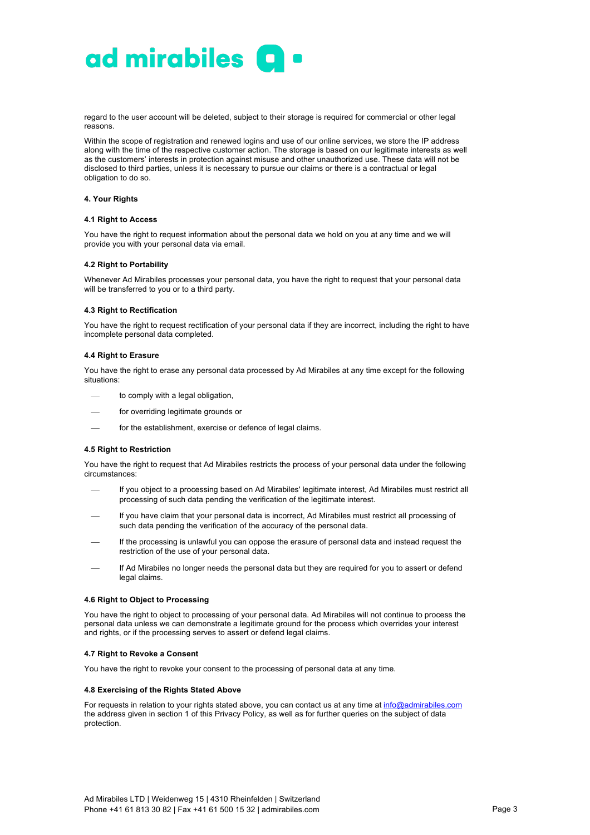

regard to the user account will be deleted, subject to their storage is required for commercial or other legal reasons.

Within the scope of registration and renewed logins and use of our online services, we store the IP address along with the time of the respective customer action. The storage is based on our legitimate interests as well as the customers' interests in protection against misuse and other unauthorized use. These data will not be disclosed to third parties, unless it is necessary to pursue our claims or there is a contractual or legal obligation to do so.

## **4. Your Rights**

#### **4.1 Right to Access**

You have the right to request information about the personal data we hold on you at any time and we will provide you with your personal data via email.

# **4.2 Right to Portability**

Whenever Ad Mirabiles processes your personal data, you have the right to request that your personal data will be transferred to you or to a third party.

#### **4.3 Right to Rectification**

You have the right to request rectification of your personal data if they are incorrect, including the right to have incomplete personal data completed.

# **4.4 Right to Erasure**

You have the right to erase any personal data processed by Ad Mirabiles at any time except for the following situations:

- to comply with a legal obligation,
- for overriding legitimate grounds or
- for the establishment, exercise or defence of legal claims.

# **4.5 Right to Restriction**

You have the right to request that Ad Mirabiles restricts the process of your personal data under the following circumstances:

- If you object to a processing based on Ad Mirabiles' legitimate interest, Ad Mirabiles must restrict all processing of such data pending the verification of the legitimate interest.
- If you have claim that your personal data is incorrect, Ad Mirabiles must restrict all processing of such data pending the verification of the accuracy of the personal data.
- If the processing is unlawful you can oppose the erasure of personal data and instead request the restriction of the use of your personal data.
- If Ad Mirabiles no longer needs the personal data but they are required for you to assert or defend legal claims.

# **4.6 Right to Object to Processing**

You have the right to object to processing of your personal data. Ad Mirabiles will not continue to process the personal data unless we can demonstrate a legitimate ground for the process which overrides your interest and rights, or if the processing serves to assert or defend legal claims.

# **4.7 Right to Revoke a Consent**

You have the right to revoke your consent to the processing of personal data at any time.

## **4.8 Exercising of the Rights Stated Above**

For requests in relation to your rights stated above, you can contact us at any time at info@admirabiles.com the address given in section 1 of this Privacy Policy, as well as for further queries on the subject of data protection.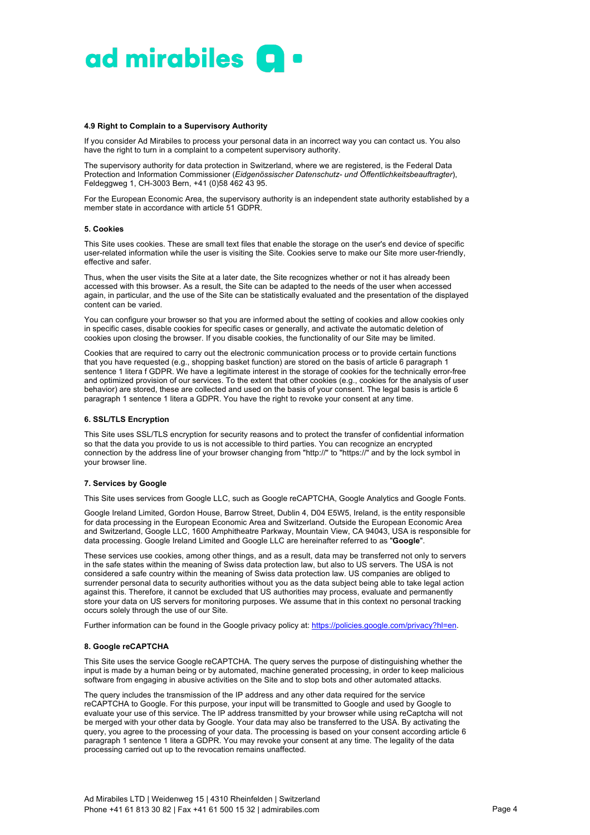

# **4.9 Right to Complain to a Supervisory Authority**

If you consider Ad Mirabiles to process your personal data in an incorrect way you can contact us. You also have the right to turn in a complaint to a competent supervisory authority.

The supervisory authority for data protection in Switzerland, where we are registered, is the Federal Data Protection and Information Commissioner (*Eidgenössischer Datenschutz- und Öffentlichkeitsbeauftragter*), Feldeggweg 1, CH-3003 Bern, +41 (0)58 462 43 95.

For the European Economic Area, the supervisory authority is an independent state authority established by a member state in accordance with article 51 GDPR.

#### **5. Cookies**

This Site uses cookies. These are small text files that enable the storage on the user's end device of specific user-related information while the user is visiting the Site. Cookies serve to make our Site more user-friendly, effective and safer.

Thus, when the user visits the Site at a later date, the Site recognizes whether or not it has already been accessed with this browser. As a result, the Site can be adapted to the needs of the user when accessed again, in particular, and the use of the Site can be statistically evaluated and the presentation of the displayed content can be varied.

You can configure your browser so that you are informed about the setting of cookies and allow cookies only in specific cases, disable cookies for specific cases or generally, and activate the automatic deletion of cookies upon closing the browser. If you disable cookies, the functionality of our Site may be limited.

Cookies that are required to carry out the electronic communication process or to provide certain functions that you have requested (e.g., shopping basket function) are stored on the basis of article 6 paragraph 1 sentence 1 litera f GDPR. We have a legitimate interest in the storage of cookies for the technically error-free and optimized provision of our services. To the extent that other cookies (e.g., cookies for the analysis of user behavior) are stored, these are collected and used on the basis of your consent. The legal basis is article 6 paragraph 1 sentence 1 litera a GDPR. You have the right to revoke your consent at any time.

#### **6. SSL/TLS Encryption**

This Site uses SSL/TLS encryption for security reasons and to protect the transfer of confidential information so that the data you provide to us is not accessible to third parties. You can recognize an encrypted connection by the address line of your browser changing from "http://" to "https://" and by the lock symbol in your browser line.

#### **7. Services by Google**

This Site uses services from Google LLC, such as Google reCAPTCHA, Google Analytics and Google Fonts.

Google Ireland Limited, Gordon House, Barrow Street, Dublin 4, D04 E5W5, Ireland, is the entity responsible for data processing in the European Economic Area and Switzerland. Outside the European Economic Area and Switzerland, Google LLC, 1600 Amphitheatre Parkway, Mountain View, CA 94043, USA is responsible for data processing. Google Ireland Limited and Google LLC are hereinafter referred to as "**Google**".

These services use cookies, among other things, and as a result, data may be transferred not only to servers in the safe states within the meaning of Swiss data protection law, but also to US servers. The USA is not considered a safe country within the meaning of Swiss data protection law. US companies are obliged to surrender personal data to security authorities without you as the data subject being able to take legal action against this. Therefore, it cannot be excluded that US authorities may process, evaluate and permanently store your data on US servers for monitoring purposes. We assume that in this context no personal tracking occurs solely through the use of our Site.

Further information can be found in the Google privacy policy at: https://policies.google.com/privacy?hl=en.

# **8. Google reCAPTCHA**

This Site uses the service Google reCAPTCHA. The query serves the purpose of distinguishing whether the input is made by a human being or by automated, machine generated processing, in order to keep malicious software from engaging in abusive activities on the Site and to stop bots and other automated attacks.

The query includes the transmission of the IP address and any other data required for the service reCAPTCHA to Google. For this purpose, your input will be transmitted to Google and used by Google to evaluate your use of this service. The IP address transmitted by your browser while using reCaptcha will not be merged with your other data by Google. Your data may also be transferred to the USA. By activating the query, you agree to the processing of your data. The processing is based on your consent according article 6 paragraph 1 sentence 1 litera a GDPR. You may revoke your consent at any time. The legality of the data processing carried out up to the revocation remains unaffected.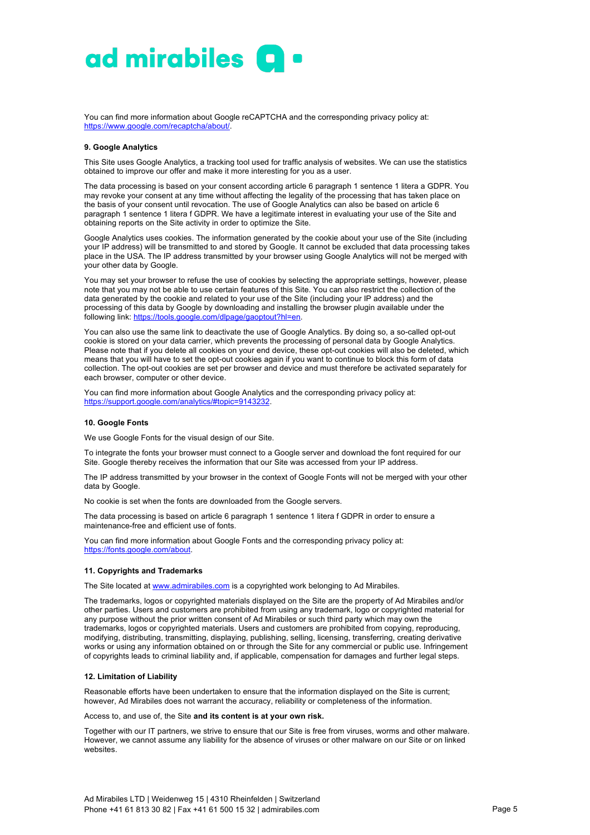

You can find more information about Google reCAPTCHA and the corresponding privacy policy at: https://www.google.com/recaptcha/about/.

## **9. Google Analytics**

This Site uses Google Analytics, a tracking tool used for traffic analysis of websites. We can use the statistics obtained to improve our offer and make it more interesting for you as a user.

The data processing is based on your consent according article 6 paragraph 1 sentence 1 litera a GDPR. You may revoke your consent at any time without affecting the legality of the processing that has taken place on the basis of your consent until revocation. The use of Google Analytics can also be based on article 6 paragraph 1 sentence 1 litera f GDPR. We have a legitimate interest in evaluating your use of the Site and obtaining reports on the Site activity in order to optimize the Site.

Google Analytics uses cookies. The information generated by the cookie about your use of the Site (including your IP address) will be transmitted to and stored by Google. It cannot be excluded that data processing takes place in the USA. The IP address transmitted by your browser using Google Analytics will not be merged with your other data by Google.

You may set your browser to refuse the use of cookies by selecting the appropriate settings, however, please note that you may not be able to use certain features of this Site. You can also restrict the collection of the data generated by the cookie and related to your use of the Site (including your IP address) and the processing of this data by Google by downloading and installing the browser plugin available under the following link: https://tools.google.com/dlpage/gaoptout?hl=en.

You can also use the same link to deactivate the use of Google Analytics. By doing so, a so-called opt-out cookie is stored on your data carrier, which prevents the processing of personal data by Google Analytics. Please note that if you delete all cookies on your end device, these opt-out cookies will also be deleted, which means that you will have to set the opt-out cookies again if you want to continue to block this form of data collection. The opt-out cookies are set per browser and device and must therefore be activated separately for each browser, computer or other device.

You can find more information about Google Analytics and the corresponding privacy policy at: https://support.google.com/analytics/#topic=9143232.

#### **10. Google Fonts**

We use Google Fonts for the visual design of our Site.

To integrate the fonts your browser must connect to a Google server and download the font required for our Site. Google thereby receives the information that our Site was accessed from your IP address.

The IP address transmitted by your browser in the context of Google Fonts will not be merged with your other data by Google.

No cookie is set when the fonts are downloaded from the Google servers.

The data processing is based on article 6 paragraph 1 sentence 1 litera f GDPR in order to ensure a maintenance-free and efficient use of fonts.

You can find more information about Google Fonts and the corresponding privacy policy at: https://fonts.google.com/about

# **11. Copyrights and Trademarks**

The Site located at www.admirabiles.com is a copyrighted work belonging to Ad Mirabiles.

The trademarks, logos or copyrighted materials displayed on the Site are the property of Ad Mirabiles and/or other parties. Users and customers are prohibited from using any trademark, logo or copyrighted material for any purpose without the prior written consent of Ad Mirabiles or such third party which may own the trademarks, logos or copyrighted materials. Users and customers are prohibited from copying, reproducing, modifying, distributing, transmitting, displaying, publishing, selling, licensing, transferring, creating derivative works or using any information obtained on or through the Site for any commercial or public use. Infringement of copyrights leads to criminal liability and, if applicable, compensation for damages and further legal steps.

# **12. Limitation of Liability**

Reasonable efforts have been undertaken to ensure that the information displayed on the Site is current; however, Ad Mirabiles does not warrant the accuracy, reliability or completeness of the information.

Access to, and use of, the Site **and its content is at your own risk.**

Together with our IT partners, we strive to ensure that our Site is free from viruses, worms and other malware. However, we cannot assume any liability for the absence of viruses or other malware on our Site or on linked websites.